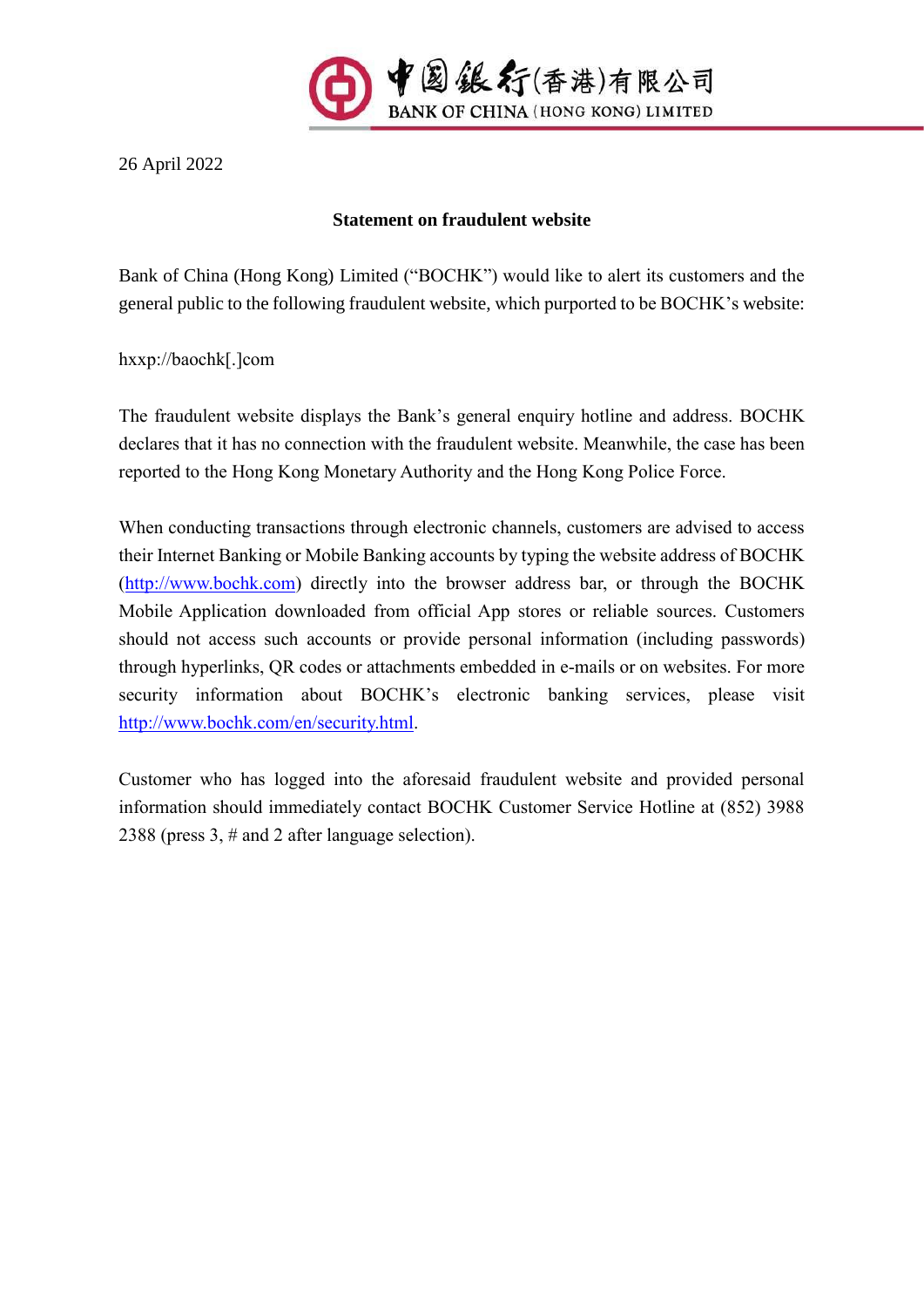

26 April 2022

## **Statement on fraudulent website**

Bank of China (Hong Kong) Limited ("BOCHK") would like to alert its customers and the general public to the following fraudulent website, which purported to be BOCHK's website:

hxxp://baochk[.]com

The fraudulent website displays the Bank's general enquiry hotline and address. BOCHK declares that it has no connection with the fraudulent website. Meanwhile, the case has been reported to the Hong Kong Monetary Authority and the Hong Kong Police Force.

When conducting transactions through electronic channels, customers are advised to access their Internet Banking or Mobile Banking accounts by typing the website address of BOCHK [\(http://www.bochk.com\)](http://www.bochk.com/) directly into the browser address bar, or through the BOCHK Mobile Application downloaded from official App stores or reliable sources. Customers should not access such accounts or provide personal information (including passwords) through hyperlinks, QR codes or attachments embedded in e-mails or on websites. For more security information about BOCHK's electronic banking services, please visit [http://www.bochk.com/en/security.html.](http://www.bochk.com/en/security.html)

Customer who has logged into the aforesaid fraudulent website and provided personal information should immediately contact BOCHK Customer Service Hotline at (852) 3988 2388 (press 3, # and 2 after language selection).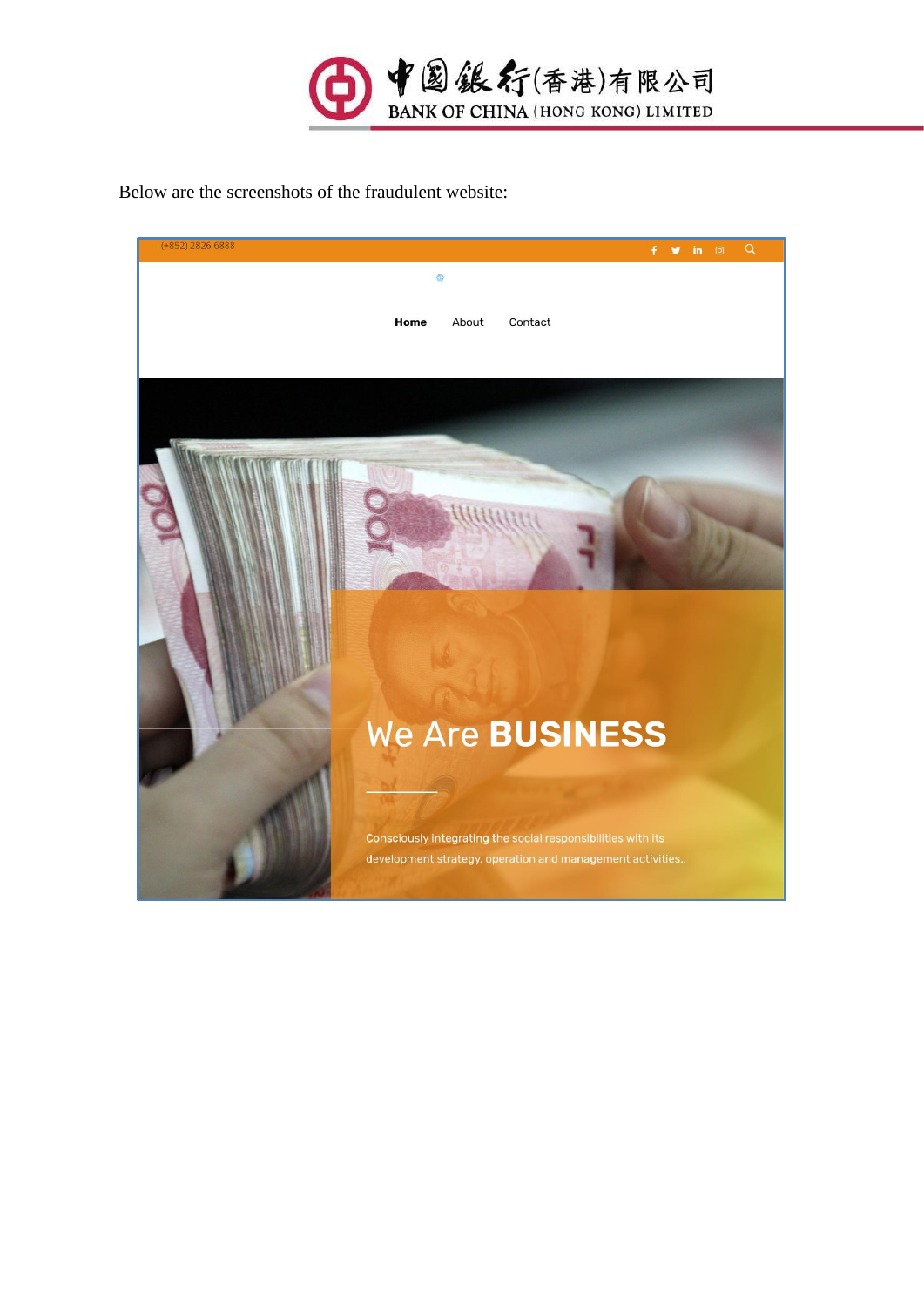

Below are the screenshots of the fraudulent website: